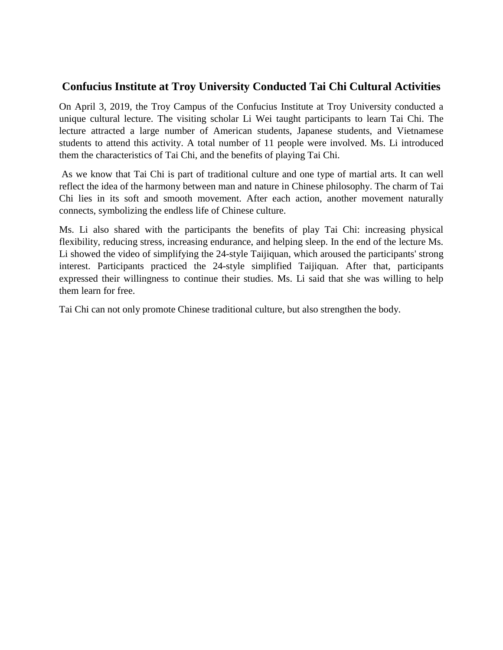## **Confucius Institute at Troy University Conducted Tai Chi Cultural Activities**

On April 3, 2019, the Troy Campus of the Confucius Institute at Troy University conducted a unique cultural lecture. The visiting scholar Li Wei taught participants to learn Tai Chi. The lecture attracted a large number of American students, Japanese students, and Vietnamese students to attend this activity. A total number of 11 people were involved. Ms. Li introduced them the characteristics of Tai Chi, and the benefits of playing Tai Chi.

As we know that Tai Chi is part of traditional culture and one type of martial arts. It can well reflect the idea of the harmony between man and nature in Chinese philosophy. The charm of Tai Chi lies in its soft and smooth movement. After each action, another movement naturally connects, symbolizing the endless life of Chinese culture.

Ms. Li also shared with the participants the benefits of play Tai Chi: increasing physical flexibility, reducing stress, increasing endurance, and helping sleep. In the end of the lecture Ms. Li showed the video of simplifying the 24-style Taijiquan, which aroused the participants' strong interest. Participants practiced the 24-style simplified Taijiquan. After that, participants expressed their willingness to continue their studies. Ms. Li said that she was willing to help them learn for free.

Tai Chi can not only promote Chinese traditional culture, but also strengthen the body.